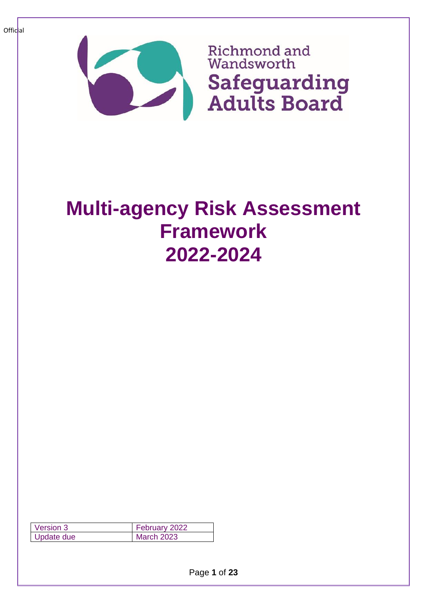

# **Multi-agency Risk Assessment Framework 2022-2024**

| Version 3  | February 2022     |
|------------|-------------------|
| Update due | <b>March 2023</b> |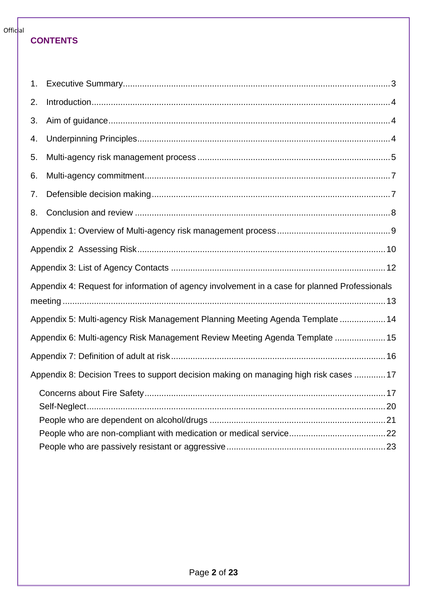#### **CONTENTS**

| 1 <sub>1</sub> |                                                                                               |
|----------------|-----------------------------------------------------------------------------------------------|
| 2.             |                                                                                               |
| 3.             |                                                                                               |
| 4.             |                                                                                               |
| 5.             |                                                                                               |
| 6.             |                                                                                               |
| 7.             |                                                                                               |
| 8.             |                                                                                               |
|                |                                                                                               |
|                |                                                                                               |
|                |                                                                                               |
|                | Appendix 4: Request for information of agency involvement in a case for planned Professionals |
|                |                                                                                               |
|                | Appendix 5: Multi-agency Risk Management Planning Meeting Agenda Template  14                 |
|                | Appendix 6: Multi-agency Risk Management Review Meeting Agenda Template  15                   |
|                |                                                                                               |
|                | Appendix 8: Decision Trees to support decision making on managing high risk cases  17         |
|                |                                                                                               |
|                |                                                                                               |
|                |                                                                                               |
|                |                                                                                               |
|                |                                                                                               |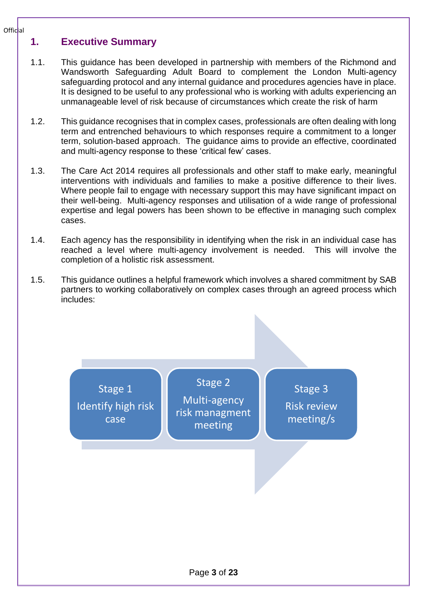### <span id="page-2-0"></span>**1. Executive Summary**

- 1.1. This guidance has been developed in partnership with members of the Richmond and Wandsworth Safeguarding Adult Board to complement the London Multi-agency safeguarding protocol and any internal guidance and procedures agencies have in place. It is designed to be useful to any professional who is working with adults experiencing an unmanageable level of risk because of circumstances which create the risk of harm
- 1.2. This guidance recognises that in complex cases, professionals are often dealing with long term and entrenched behaviours to which responses require a commitment to a longer term, solution-based approach. The guidance aims to provide an effective, coordinated and multi-agency response to these 'critical few' cases.
- 1.3. The Care Act 2014 requires all professionals and other staff to make early, meaningful interventions with individuals and families to make a positive difference to their lives. Where people fail to engage with necessary support this may have significant impact on their well-being. Multi-agency responses and utilisation of a wide range of professional expertise and legal powers has been shown to be effective in managing such complex cases.
- 1.4. Each agency has the responsibility in identifying when the risk in an individual case has reached a level where multi-agency involvement is needed. This will involve the completion of a holistic risk assessment.
- 1.5. This guidance outlines a helpful framework which involves a shared commitment by SAB partners to working collaboratively on complex cases through an agreed process which includes:

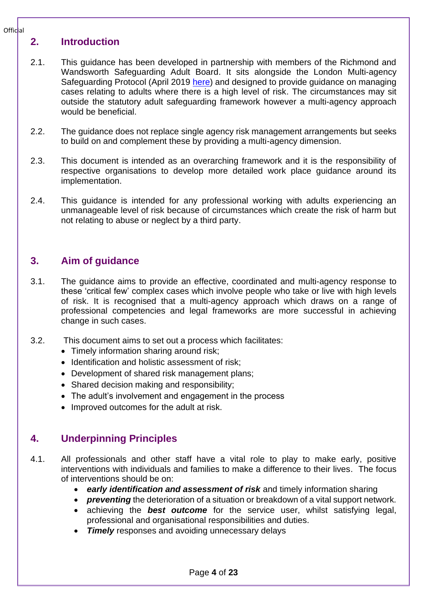#### <span id="page-3-0"></span>**2. Introduction**

- 2.1. This guidance has been developed in partnership with members of the Richmond and Wandsworth Safeguarding Adult Board. It sits alongside the London Multi-agency Safeguarding Protocol (April 2019 [here\)](https://www.richmond.gov.uk/council/how_we_work/partnerships/sab/safeguarding_adults_board_resources) and designed to provide guidance on managing cases relating to adults where there is a high level of risk. The circumstances may sit outside the statutory adult safeguarding framework however a multi-agency approach would be beneficial.
- 2.2. The guidance does not replace single agency risk management arrangements but seeks to build on and complement these by providing a multi-agency dimension.
- 2.3. This document is intended as an overarching framework and it is the responsibility of respective organisations to develop more detailed work place guidance around its implementation.
- 2.4. This guidance is intended for any professional working with adults experiencing an unmanageable level of risk because of circumstances which create the risk of harm but not relating to abuse or neglect by a third party.

### <span id="page-3-1"></span>**3. Aim of guidance**

- 3.1. The guidance aims to provide an effective, coordinated and multi-agency response to these 'critical few' complex cases which involve people who take or live with high levels of risk. It is recognised that a multi-agency approach which draws on a range of professional competencies and legal frameworks are more successful in achieving change in such cases.
- 3.2. This document aims to set out a process which facilitates:
	- Timely information sharing around risk;
	- Identification and holistic assessment of risk;
	- Development of shared risk management plans;
	- Shared decision making and responsibility;
	- The adult's involvement and engagement in the process
	- Improved outcomes for the adult at risk.

### <span id="page-3-2"></span>**4. Underpinning Principles**

- 4.1. All professionals and other staff have a vital role to play to make early, positive interventions with individuals and families to make a difference to their lives. The focus of interventions should be on:
	- *early identification and assessment of risk* and timely information sharing
	- *preventing* the deterioration of a situation or breakdown of a vital support network.
	- achieving the *best outcome* for the service user, whilst satisfying legal, professional and organisational responsibilities and duties.
	- **Timely** responses and avoiding unnecessary delays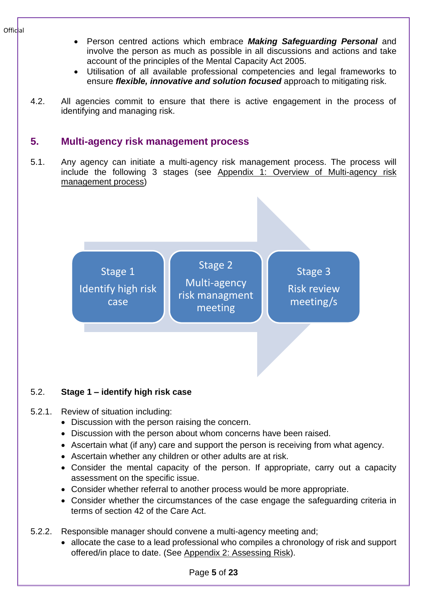- Person centred actions which embrace *Making Safeguarding Personal* and involve the person as much as possible in all discussions and actions and take account of the principles of the Mental Capacity Act 2005.
- Utilisation of all available professional competencies and legal frameworks to ensure *flexible, innovative and solution focused* approach to mitigating risk.
- 4.2. All agencies commit to ensure that there is active engagement in the process of identifying and managing risk.

# <span id="page-4-0"></span>**5. Multi-agency risk management process**

5.1. Any agency can initiate a multi-agency risk management process. The process will include the following 3 stages (see [Appendix 1: Overview of Multi-agency risk](#page-8-0)  [management process\)](#page-8-0)



### 5.2. **Stage 1 – identify high risk case**

- 5.2.1. Review of situation including:
	- Discussion with the person raising the concern.
	- Discussion with the person about whom concerns have been raised.
	- Ascertain what (if any) care and support the person is receiving from what agency.
	- Ascertain whether any children or other adults are at risk.
	- Consider the mental capacity of the person. If appropriate, carry out a capacity assessment on the specific issue.
	- Consider whether referral to another process would be more appropriate.
	- Consider whether the circumstances of the case engage the safeguarding criteria in terms of section 42 of the Care Act.
- 5.2.2. Responsible manager should convene a multi-agency meeting and;
	- allocate the case to a lead professional who compiles a chronology of risk and support offered/in place to date. (See Appendix 2: [Assessing Risk\)](#page-9-0).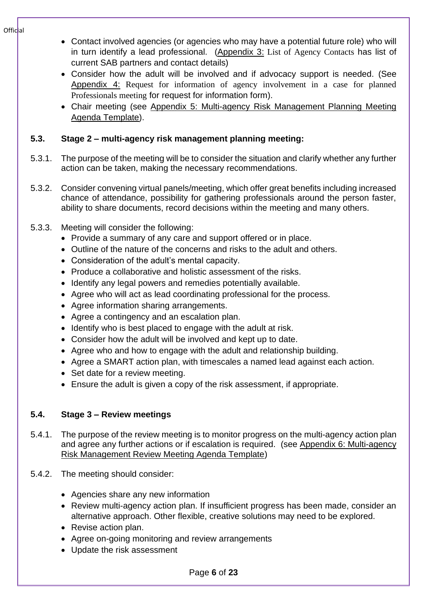- Contact involved agencies (or agencies who may have a potential future role) who will in turn identify a lead professional. (Appendix 3: [List of Agency Contacts](#page-11-0) has list of current SAB partners and contact details)
- Consider how the adult will be involved and if advocacy support is needed. (See Appendix 4: [Request for information of agency involvement in a case for planned](#page-12-0)  [Professionals meeting](#page-12-0) for request for information form).
- Chair meeting (see Appendix 5: [Multi-agency Risk Management Planning Meeting](#page-13-0)  [Agenda Template\)](#page-13-0).

### **5.3. Stage 2 – multi-agency risk management planning meeting:**

- 5.3.1. The purpose of the meeting will be to consider the situation and clarify whether any further action can be taken, making the necessary recommendations.
- 5.3.2. Consider convening virtual panels/meeting, which offer great benefits including increased chance of attendance, possibility for gathering professionals around the person faster, ability to share documents, record decisions within the meeting and many others.
- 5.3.3. Meeting will consider the following:
	- Provide a summary of any care and support offered or in place.
	- Outline of the nature of the concerns and risks to the adult and others.
	- Consideration of the adult's mental capacity.
	- Produce a collaborative and holistic assessment of the risks.
	- Identify any legal powers and remedies potentially available.
	- Agree who will act as lead coordinating professional for the process.
	- Agree information sharing arrangements.
	- Agree a contingency and an escalation plan.
	- Identify who is best placed to engage with the adult at risk.
	- Consider how the adult will be involved and kept up to date.
	- Agree who and how to engage with the adult and relationship building.
	- Agree a SMART action plan, with timescales a named lead against each action.
	- Set date for a review meeting.
	- Ensure the adult is given a copy of the risk assessment, if appropriate.

### **5.4. Stage 3 – Review meetings**

- 5.4.1. The purpose of the review meeting is to monitor progress on the multi-agency action plan and agree any further actions or if escalation is required. (see Appendix 6: [Multi-agency](#page-14-0)  [Risk Management Review Meeting Agenda Template\)](#page-14-0)
- 5.4.2. The meeting should consider:
	- Agencies share any new information
	- Review multi-agency action plan. If insufficient progress has been made, consider an alternative approach. Other flexible, creative solutions may need to be explored.
	- Revise action plan.
	- Agree on-going monitoring and review arrangements
	- Update the risk assessment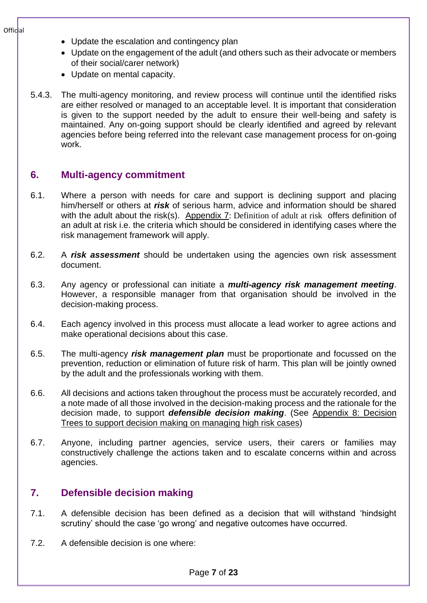- Update the escalation and contingency plan
- Update on the engagement of the adult (and others such as their advocate or members of their social/carer network)
- Update on mental capacity.
- 5.4.3. The multi-agency monitoring, and review process will continue until the identified risks are either resolved or managed to an acceptable level. It is important that consideration is given to the support needed by the adult to ensure their well-being and safety is maintained. Any on-going support should be clearly identified and agreed by relevant agencies before being referred into the relevant case management process for on-going work.

#### <span id="page-6-0"></span>**6. Multi-agency commitment**

- 6.1. Where a person with needs for care and support is declining support and placing him/herself or others at *risk* of serious harm, advice and information should be shared with the adult about the risk(s). [Appendix 7](#page-15-0): [Definition of adult at risk](#page-15-0) offers definition of an adult at risk i.e. the criteria which should be considered in identifying cases where the risk management framework will apply.
- 6.2. A *risk assessment* should be undertaken using the agencies own risk assessment document.
- 6.3. Any agency or professional can initiate a *multi-agency risk management meeting*. However, a responsible manager from that organisation should be involved in the decision-making process.
- 6.4. Each agency involved in this process must allocate a lead worker to agree actions and make operational decisions about this case.
- 6.5. The multi-agency *risk management plan* must be proportionate and focussed on the prevention, reduction or elimination of future risk of harm. This plan will be jointly owned by the adult and the professionals working with them.
- 6.6. All decisions and actions taken throughout the process must be accurately recorded, and a note made of all those involved in the decision-making process and the rationale for the decision made, to support *defensible decision making*. (See [Appendix 8: Decision](#page-16-0)  [Trees to support decision making on managing high risk cases\)](#page-16-0)
- 6.7. Anyone, including partner agencies, service users, their carers or families may constructively challenge the actions taken and to escalate concerns within and across agencies.

### <span id="page-6-1"></span>**7. Defensible decision making**

- 7.1. A defensible decision has been defined as a decision that will withstand 'hindsight scrutiny' should the case 'go wrong' and negative outcomes have occurred.
- 7.2. A defensible decision is one where: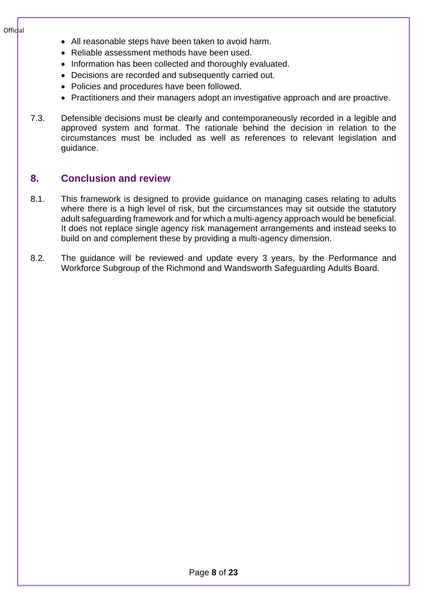- All reasonable steps have been taken to avoid harm.
- Reliable assessment methods have been used.
- Information has been collected and thoroughly evaluated.
- Decisions are recorded and subsequently carried out.
- Policies and procedures have been followed.
- Practitioners and their managers adopt an investigative approach and are proactive.
- 7.3. Defensible decisions must be clearly and contemporaneously recorded in a legible and approved system and format. The rationale behind the decision in relation to the circumstances must be included as well as references to relevant legislation and guidance.

#### <span id="page-7-0"></span>**8. Conclusion and review**

- 8.1. This framework is designed to provide guidance on managing cases relating to adults where there is a high level of risk, but the circumstances may sit outside the statutory adult safeguarding framework and for which a multi-agency approach would be beneficial. It does not replace single agency risk management arrangements and instead seeks to build on and complement these by providing a multi-agency dimension.
- 8.2. The guidance will be reviewed and update every 3 years, by the Performance and Workforce Subgroup of the Richmond and Wandsworth Safeguarding Adults Board.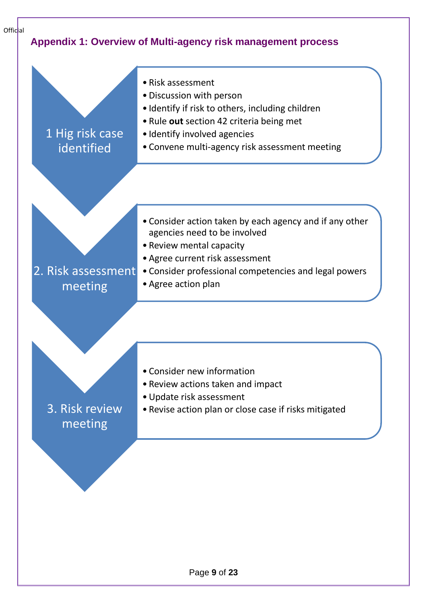<span id="page-8-0"></span>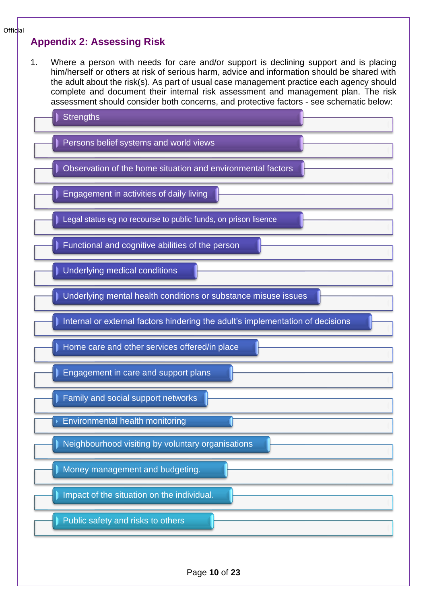#### <span id="page-9-0"></span>**Appendix 2: Assessing Risk**

1. Where a person with needs for care and/or support is declining support and is placing him/herself or others at risk of serious harm, advice and information should be shared with the adult about the risk(s). As part of usual case management practice each agency should complete and document their internal risk assessment and management plan. The risk assessment should consider both concerns, and protective factors - see schematic below:

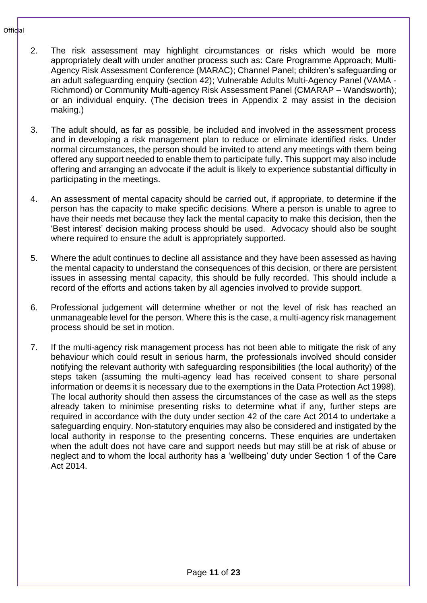- 2. The risk assessment may highlight circumstances or risks which would be more appropriately dealt with under another process such as: Care Programme Approach; Multi-Agency Risk Assessment Conference (MARAC); Channel Panel; children's safeguarding or an adult safeguarding enquiry (section 42); Vulnerable Adults Multi-Agency Panel (VAMA - Richmond) or Community Multi-agency Risk Assessment Panel (CMARAP – Wandsworth); or an individual enquiry. (The decision trees in Appendix 2 may assist in the decision making.)
- 3. The adult should, as far as possible, be included and involved in the assessment process and in developing a risk management plan to reduce or eliminate identified risks. Under normal circumstances, the person should be invited to attend any meetings with them being offered any support needed to enable them to participate fully. This support may also include offering and arranging an advocate if the adult is likely to experience substantial difficulty in participating in the meetings.
- 4. An assessment of mental capacity should be carried out, if appropriate, to determine if the person has the capacity to make specific decisions. Where a person is unable to agree to have their needs met because they lack the mental capacity to make this decision, then the 'Best interest' decision making process should be used. Advocacy should also be sought where required to ensure the adult is appropriately supported.
- 5. Where the adult continues to decline all assistance and they have been assessed as having the mental capacity to understand the consequences of this decision, or there are persistent issues in assessing mental capacity, this should be fully recorded. This should include a record of the efforts and actions taken by all agencies involved to provide support.
- 6. Professional judgement will determine whether or not the level of risk has reached an unmanageable level for the person. Where this is the case, a multi-agency risk management process should be set in motion.
- 7. If the multi-agency risk management process has not been able to mitigate the risk of any behaviour which could result in serious harm, the professionals involved should consider notifying the relevant authority with safeguarding responsibilities (the local authority) of the steps taken (assuming the multi-agency lead has received consent to share personal information or deems it is necessary due to the exemptions in the Data Protection Act 1998). The local authority should then assess the circumstances of the case as well as the steps already taken to minimise presenting risks to determine what if any, further steps are required in accordance with the duty under section 42 of the care Act 2014 to undertake a safeguarding enquiry. Non-statutory enquiries may also be considered and instigated by the local authority in response to the presenting concerns. These enquiries are undertaken when the adult does not have care and support needs but may still be at risk of abuse or neglect and to whom the local authority has a 'wellbeing' duty under Section 1 of the Care Act 2014.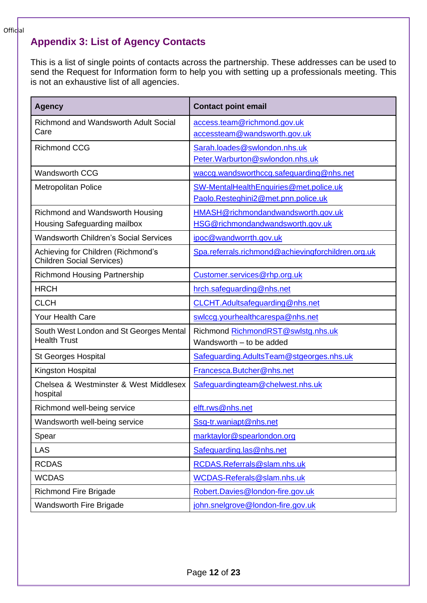# <span id="page-11-0"></span>**Appendix 3: List of Agency Contacts**

This is a list of single points of contacts across the partnership. These addresses can be used to send the Request for Information form to help you with setting up a professionals meeting. This is not an exhaustive list of all agencies.

| <b>Agency</b>                                                          | <b>Contact point email</b>                         |
|------------------------------------------------------------------------|----------------------------------------------------|
| <b>Richmond and Wandsworth Adult Social</b>                            | access.team@richmond.gov.uk                        |
| Care                                                                   | accessteam@wandsworth.gov.uk                       |
| <b>Richmond CCG</b>                                                    | Sarah.loades@swlondon.nhs.uk                       |
|                                                                        | Peter. Warburton@swlondon.nhs.uk                   |
| <b>Wandsworth CCG</b>                                                  | waccg.wandsworthccg.safeguarding@nhs.net           |
| <b>Metropolitan Police</b>                                             | SW-MentalHealthEnquiries@met.police.uk             |
|                                                                        | Paolo.Resteghini2@met.pnn.police.uk                |
| Richmond and Wandsworth Housing                                        | HMASH@richmondandwandsworth.gov.uk                 |
| Housing Safeguarding mailbox                                           | HSG@richmondandwandsworth.gov.uk                   |
| <b>Wandsworth Children's Social Services</b>                           | ipoc@wandworrth.gov.uk                             |
| Achieving for Children (Richmond's<br><b>Children Social Services)</b> | Spa.referrals.richmond@achievingforchildren.org.uk |
| <b>Richmond Housing Partnership</b>                                    | Customer.services@rhp.org.uk                       |
| <b>HRCH</b>                                                            | hrch.safeguarding@nhs.net                          |
| <b>CLCH</b>                                                            | CLCHT.Adultsafeguarding@nhs.net                    |
| <b>Your Health Care</b>                                                | swlccg.yourhealthcarespa@nhs.net                   |
| South West London and St Georges Mental                                | Richmond RichmondRST@swlstg.nhs.uk                 |
| <b>Health Trust</b>                                                    | Wandsworth - to be added                           |
| <b>St Georges Hospital</b>                                             | Safeguarding.AdultsTeam@stgeorges.nhs.uk           |
| Kingston Hospital                                                      | Francesca.Butcher@nhs.net                          |
| Chelsea & Westminster & West Middlesex<br>hospital                     | Safeguardingteam@chelwest.nhs.uk                   |
| Richmond well-being service                                            | elft.rws@nhs.net                                   |
| Wandsworth well-being service                                          | Ssg-tr.waniapt@nhs.net                             |
| Spear                                                                  | marktaylor@spearlondon.org                         |
| <b>LAS</b>                                                             | Safeguarding.las@nhs.net                           |
| <b>RCDAS</b>                                                           | RCDAS.Referrals@slam.nhs.uk                        |
| <b>WCDAS</b>                                                           | WCDAS-Referals@slam.nhs.uk                         |
| <b>Richmond Fire Brigade</b>                                           | Robert.Davies@london-fire.gov.uk                   |
| <b>Wandsworth Fire Brigade</b>                                         | john.snelgrove@london-fire.gov.uk                  |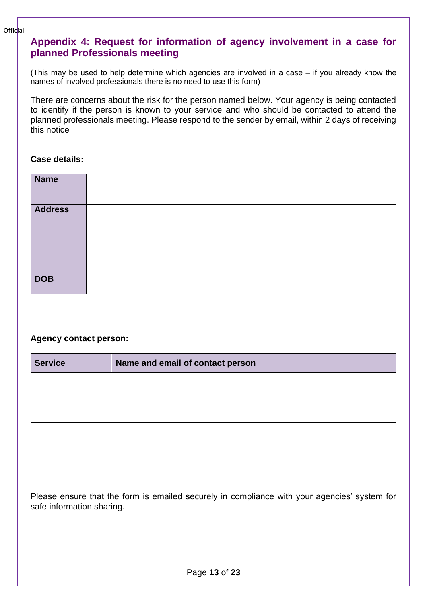### <span id="page-12-0"></span>**Appendix 4: Request for information of agency involvement in a case for planned Professionals meeting**

(This may be used to help determine which agencies are involved in a case – if you already know the names of involved professionals there is no need to use this form)

There are concerns about the risk for the person named below. Your agency is being contacted to identify if the person is known to your service and who should be contacted to attend the planned professionals meeting. Please respond to the sender by email, within 2 days of receiving this notice

#### **Case details:**

| <b>Name</b>    |  |
|----------------|--|
| <b>Address</b> |  |
|                |  |
| <b>DOB</b>     |  |

#### **Agency contact person:**

| <b>Service</b> | Name and email of contact person |
|----------------|----------------------------------|
|                |                                  |
|                |                                  |
|                |                                  |

Please ensure that the form is emailed securely in compliance with your agencies' system for safe information sharing.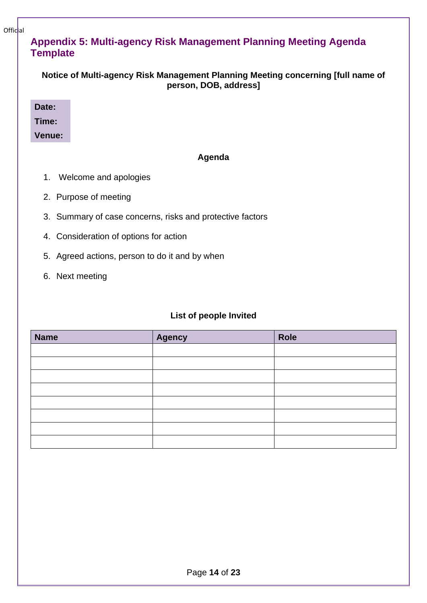# <span id="page-13-0"></span>**Appendix 5: Multi-agency Risk Management Planning Meeting Agenda Template**

| Notice of Multi-agency Risk Management Planning Meeting concerning [full name of |
|----------------------------------------------------------------------------------|
| person, DOB, address]                                                            |

**Date: Time:**

**Venue:**

#### **Agenda**

- 1. Welcome and apologies
- 2. Purpose of meeting
- 3. Summary of case concerns, risks and protective factors
- 4. Consideration of options for action
- 5. Agreed actions, person to do it and by when
- 6. Next meeting

#### **List of people Invited**

| <b>Name</b> | Agency | Role |
|-------------|--------|------|
|             |        |      |
|             |        |      |
|             |        |      |
|             |        |      |
|             |        |      |
|             |        |      |
|             |        |      |
|             |        |      |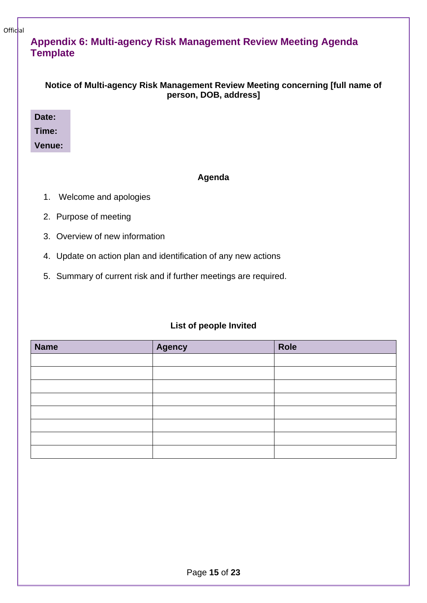### <span id="page-14-0"></span>**Appendix 6: Multi-agency Risk Management Review Meeting Agenda Template**

| Notice of Multi-agency Risk Management Review Meeting concerning [full name of |
|--------------------------------------------------------------------------------|
| person, DOB, address]                                                          |

**Date:**

**Time:**

#### **Venue:**

#### **Agenda**

- 1. Welcome and apologies
- 2. Purpose of meeting
- 3. Overview of new information
- 4. Update on action plan and identification of any new actions
- 5. Summary of current risk and if further meetings are required.

#### **List of people Invited**

| <b>Name</b> | <b>Agency</b> | Role |
|-------------|---------------|------|
|             |               |      |
|             |               |      |
|             |               |      |
|             |               |      |
|             |               |      |
|             |               |      |
|             |               |      |
|             |               |      |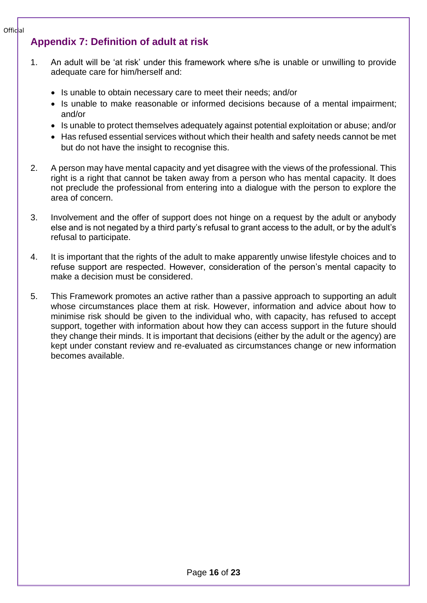# <span id="page-15-0"></span>**Appendix 7: Definition of adult at risk**

- 1. An adult will be 'at risk' under this framework where s/he is unable or unwilling to provide adequate care for him/herself and:
	- Is unable to obtain necessary care to meet their needs; and/or
	- Is unable to make reasonable or informed decisions because of a mental impairment; and/or
	- Is unable to protect themselves adequately against potential exploitation or abuse; and/or
	- Has refused essential services without which their health and safety needs cannot be met but do not have the insight to recognise this.
- 2. A person may have mental capacity and yet disagree with the views of the professional. This right is a right that cannot be taken away from a person who has mental capacity. It does not preclude the professional from entering into a dialogue with the person to explore the area of concern.
- 3. Involvement and the offer of support does not hinge on a request by the adult or anybody else and is not negated by a third party's refusal to grant access to the adult, or by the adult's refusal to participate.
- 4. It is important that the rights of the adult to make apparently unwise lifestyle choices and to refuse support are respected. However, consideration of the person's mental capacity to make a decision must be considered.
- 5. This Framework promotes an active rather than a passive approach to supporting an adult whose circumstances place them at risk. However, information and advice about how to minimise risk should be given to the individual who, with capacity, has refused to accept support, together with information about how they can access support in the future should they change their minds. It is important that decisions (either by the adult or the agency) are kept under constant review and re-evaluated as circumstances change or new information becomes available.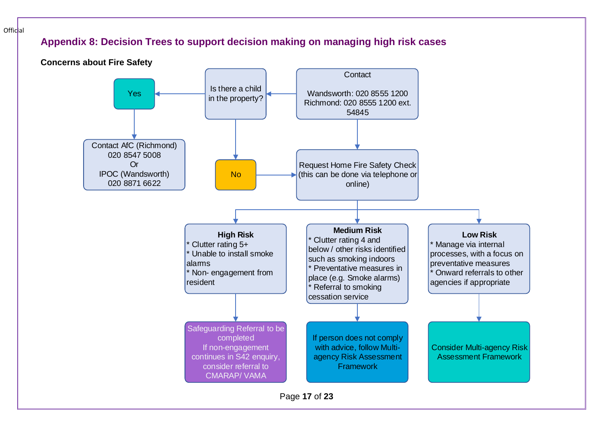# **Appendix 8: Decision Trees to support decision making on managing high risk cases**

Official

<span id="page-16-1"></span><span id="page-16-0"></span>

Page **17** of **23**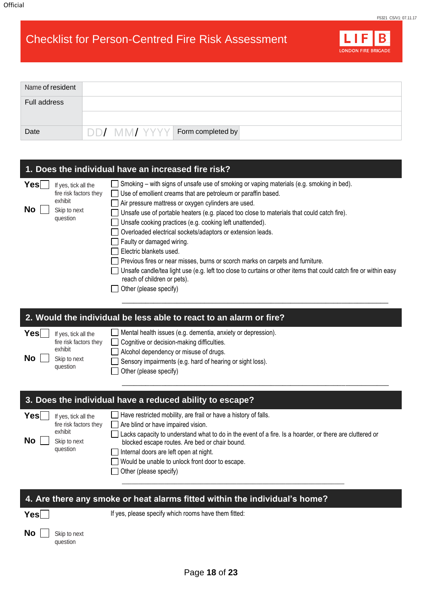**Yes**

**No** Skip to next question

# Checklist for Person-Centred Fire Risk Assessment



| Name of resident |                                |
|------------------|--------------------------------|
| Full address     |                                |
| Date             | DD/ MM/ YYYY Form completed by |

| 1. Does the individual have an increased fire risk?                                                        |                                                                                                                                                                                                                                                                                                                                                                                                                                                                                                                                                                                                                                                                                                                                                                 |  |
|------------------------------------------------------------------------------------------------------------|-----------------------------------------------------------------------------------------------------------------------------------------------------------------------------------------------------------------------------------------------------------------------------------------------------------------------------------------------------------------------------------------------------------------------------------------------------------------------------------------------------------------------------------------------------------------------------------------------------------------------------------------------------------------------------------------------------------------------------------------------------------------|--|
| Yes∣<br>If yes, tick all the<br>fire risk factors they<br>exhibit<br>No.<br>Skip to next<br>question       | Smoking - with signs of unsafe use of smoking or vaping materials (e.g. smoking in bed).<br>Use of emollient creams that are petroleum or paraffin based.<br>Air pressure mattress or oxygen cylinders are used.<br>Unsafe use of portable heaters (e.g. placed too close to materials that could catch fire).<br>Unsafe cooking practices (e.g. cooking left unattended).<br>Overloaded electrical sockets/adaptors or extension leads.<br>Faulty or damaged wiring.<br>Electric blankets used.<br>Previous fires or near misses, burns or scorch marks on carpets and furniture.<br>Unsafe candle/tea light use (e.g. left too close to curtains or other items that could catch fire or within easy<br>reach of children or pets).<br>Other (please specify) |  |
|                                                                                                            | 2. Would the individual be less able to react to an alarm or fire?                                                                                                                                                                                                                                                                                                                                                                                                                                                                                                                                                                                                                                                                                              |  |
| Yes∣<br>If yes, tick all the<br>fire risk factors they<br>exhibit<br><b>No</b><br>Skip to next<br>question | Mental health issues (e.g. dementia, anxiety or depression).<br>Cognitive or decision-making difficulties.<br>Alcohol dependency or misuse of drugs.<br>Sensory impairments (e.g. hard of hearing or sight loss).<br>Other (please specify)                                                                                                                                                                                                                                                                                                                                                                                                                                                                                                                     |  |
|                                                                                                            |                                                                                                                                                                                                                                                                                                                                                                                                                                                                                                                                                                                                                                                                                                                                                                 |  |
|                                                                                                            | 3. Does the individual have a reduced ability to escape?                                                                                                                                                                                                                                                                                                                                                                                                                                                                                                                                                                                                                                                                                                        |  |
| Yesl<br>If yes, tick all the<br>fire risk factors they<br>exhibit<br><b>No</b><br>Skip to next<br>question | Have restricted mobility, are frail or have a history of falls.<br>Are blind or have impaired vision.<br>Lacks capacity to understand what to do in the event of a fire. Is a hoarder, or there are cluttered or<br>blocked escape routes. Are bed or chair bound.<br>Internal doors are left open at night.<br>Would be unable to unlock front door to escape.<br>Other (please specify)                                                                                                                                                                                                                                                                                                                                                                       |  |

Page **18** of **23**

**4. Are there any smoke or heat alarms fitted within the individual's home?**

If yes, please specify which rooms have them fitted: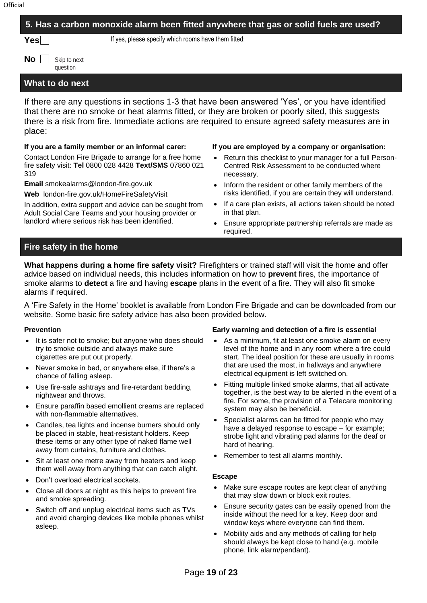| 5. Has a carbon monoxide alarm been fitted anywhere that gas or solid fuels are used? |                                                                                                                                                                                                                                                                                                           |  |
|---------------------------------------------------------------------------------------|-----------------------------------------------------------------------------------------------------------------------------------------------------------------------------------------------------------------------------------------------------------------------------------------------------------|--|
| $\mathsf{Yes}$                                                                        | If yes, please specify which rooms have them fitted:                                                                                                                                                                                                                                                      |  |
| No l<br>Skip to next<br>question                                                      |                                                                                                                                                                                                                                                                                                           |  |
| What to do next                                                                       |                                                                                                                                                                                                                                                                                                           |  |
| place:                                                                                | If there are any questions in sections 1-3 that have been answered 'Yes', or you have identified<br>that there are no smoke or heat alarms fitted, or they are broken or poorly sited, this suggests<br>there is a risk from fire. Immediate actions are required to ensure agreed safety measures are in |  |

#### **If you are a family member or an informal carer:**

Contact London Fire Brigade to arrange for a free home fire safety visit: **Tel** 0800 028 4428 **Text/SMS** 07860 021 319

**Email** [smokealarms@london-fire.gov.uk](mailto:smokealarms@london-fire.gov.uk)

**Web** london-fire.gov.uk/HomeFireSafetyVisit

In addition, extra support and advice can be sought from Adult Social Care Teams and your housing provider or landlord where serious risk has been identified.

#### **If you are employed by a company or organisation:**

- Return this checklist to your manager for a full Person-Centred Risk Assessment to be conducted where necessary.
- Inform the resident or other family members of the risks identified, if you are certain they will understand.
- If a care plan exists, all actions taken should be noted in that plan.
- Ensure appropriate partnership referrals are made as required.

#### **Fire safety in the home**

**What happens during a home fire safety visit?** Firefighters or trained staff will visit the home and offer advice based on individual needs, this includes information on how to **prevent** fires, the importance of smoke alarms to **detect** a fire and having **escape** plans in the event of a fire. They will also fit smoke alarms if required.

A 'Fire Safety in the Home' booklet is available from London Fire Brigade and can be downloaded from our website. Some basic fire safety advice has also been provided below.

#### **Prevention**

- It is safer not to smoke; but anyone who does should try to smoke outside and always make sure cigarettes are put out properly.
- Never smoke in bed, or anywhere else, if there's a chance of falling asleep.
- Use fire-safe ashtrays and fire-retardant bedding, nightwear and throws.
- Ensure paraffin based emollient creams are replaced with non-flammable alternatives.
- Candles, tea lights and incense burners should only be placed in stable, heat-resistant holders. Keep these items or any other type of naked flame well away from curtains, furniture and clothes.
- Sit at least one metre away from heaters and keep them well away from anything that can catch alight.
- Don't overload electrical sockets.
- Close all doors at night as this helps to prevent fire and smoke spreading.
- Switch off and unplug electrical items such as TVs and avoid charging devices like mobile phones whilst asleep.

#### **Early warning and detection of a fire is essential**

- As a minimum, fit at least one smoke alarm on every level of the home and in any room where a fire could start. The ideal position for these are usually in rooms that are used the most, in hallways and anywhere electrical equipment is left switched on.
- Fitting multiple linked smoke alarms, that all activate together, is the best way to be alerted in the event of a fire. For some, the provision of a Telecare monitoring system may also be beneficial.
- Specialist alarms can be fitted for people who may have a delayed response to escape – for example; strobe light and vibrating pad alarms for the deaf or hard of hearing.
- Remember to test all alarms monthly.

#### **Escape**

- Make sure escape routes are kept clear of anything that may slow down or block exit routes.
- Ensure security gates can be easily opened from the inside without the need for a key. Keep door and window keys where everyone can find them.
- Mobility aids and any methods of calling for help should always be kept close to hand (e.g. mobile phone, link alarm/pendant).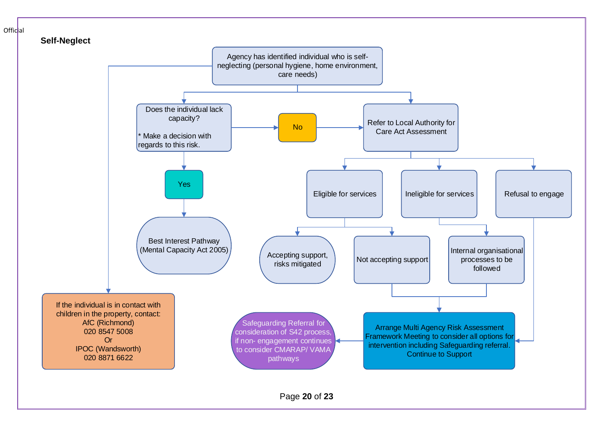<span id="page-19-0"></span>

Page **20** of **23**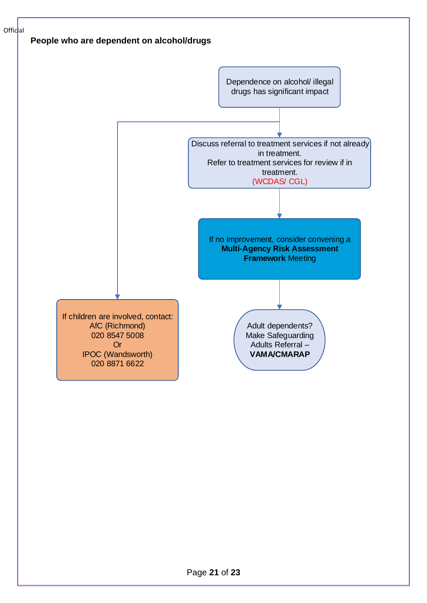<span id="page-20-0"></span>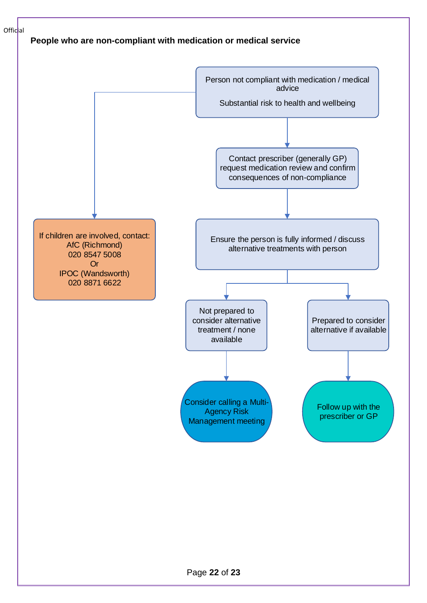

#### <span id="page-21-0"></span>**People who are non-compliant with medication or medical service**